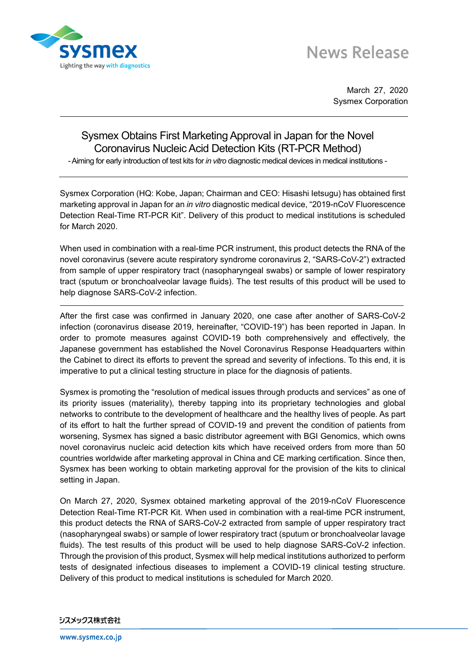

# **News Release**

March 27, 2020 Sysmex Corporation

# Sysmex Obtains First Marketing Approval in Japan for the Novel Coronavirus Nucleic Acid Detection Kits (RT-PCR Method)

-Aiming for early introduction of test kits for *in vitro* diagnostic medical devices in medical institutions -

Sysmex Corporation (HQ: Kobe, Japan; Chairman and CEO: Hisashi Ietsugu) has obtained first marketing approval in Japan for an *in vitro* diagnostic medical device, "2019-nCoV Fluorescence Detection Real-Time RT-PCR Kit". Delivery of this product to medical institutions is scheduled for March 2020.

When used in combination with a real-time PCR instrument, this product detects the RNA of the novel coronavirus (severe acute respiratory syndrome coronavirus 2, "SARS-CoV-2") extracted from sample of upper respiratory tract (nasopharyngeal swabs) or sample of lower respiratory tract (sputum or bronchoalveolar lavage fluids). The test results of this product will be used to help diagnose SARS-CoV-2 infection.

After the first case was confirmed in January 2020, one case after another of SARS-CoV-2 infection (coronavirus disease 2019, hereinafter, "COVID-19") has been reported in Japan. In order to promote measures against COVID-19 both comprehensively and effectively, the Japanese government has established the Novel Coronavirus Response Headquarters within the Cabinet to direct its efforts to prevent the spread and severity of infections. To this end, it is imperative to put a clinical testing structure in place for the diagnosis of patients.

Sysmex is promoting the "resolution of medical issues through products and services" as one of its priority issues (materiality), thereby tapping into its proprietary technologies and global networks to contribute to the development of healthcare and the healthy lives of people. As part of its effort to halt the further spread of COVID-19 and prevent the condition of patients from worsening, Sysmex has signed a basic distributor agreement with BGI Genomics, which owns novel coronavirus nucleic acid detection kits which have received orders from more than 50 countries worldwide after marketing approval in China and CE marking certification. Since then, Sysmex has been working to obtain marketing approval for the provision of the kits to clinical setting in Japan.

On March 27, 2020, Sysmex obtained marketing approval of the 2019-nCoV Fluorescence Detection Real-Time RT-PCR Kit. When used in combination with a real-time PCR instrument, this product detects the RNA of SARS-CoV-2 extracted from sample of upper respiratory tract (nasopharyngeal swabs) or sample of lower respiratory tract (sputum or bronchoalveolar lavage fluids). The test results of this product will be used to help diagnose SARS-CoV-2 infection. Through the provision of this product, Sysmex will help medical institutions authorized to perform tests of designated infectious diseases to implement a COVID-19 clinical testing structure. Delivery of this product to medical institutions is scheduled for March 2020.

#### シスメックス株式会社